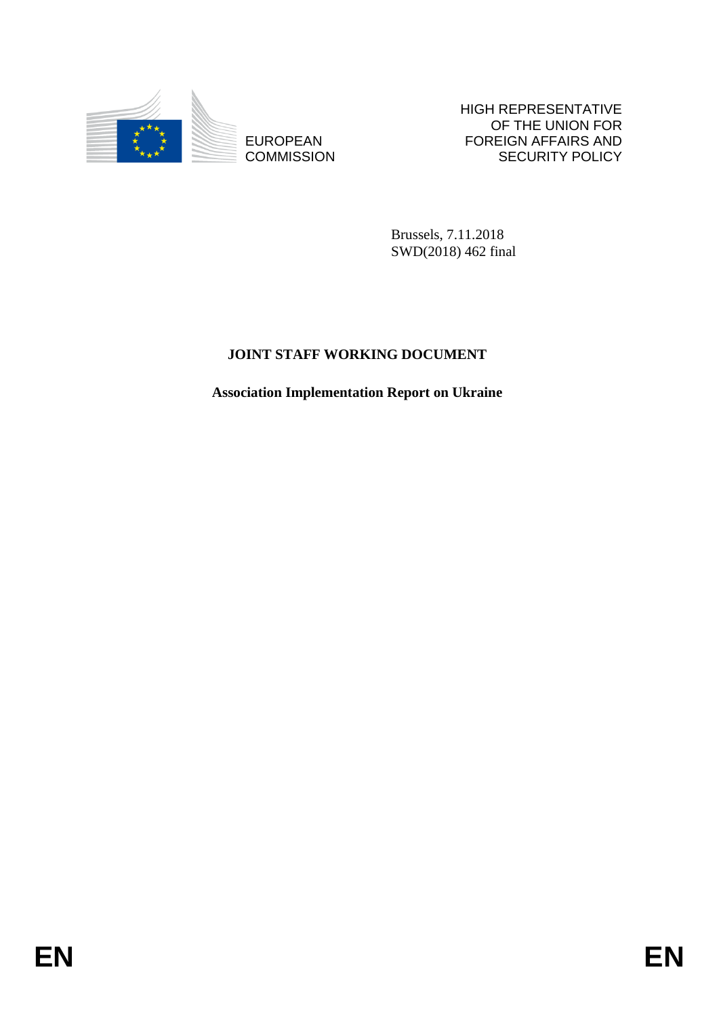

**COMMISSION** 

HIGH REPRESENTATIVE OF THE UNION FOR FOREIGN AFFAIRS AND SECURITY POLICY

Brussels, 7.11.2018 SWD(2018) 462 final

# **JOINT STAFF WORKING DOCUMENT**

EUROPEAN FOREIGN FOREIGN FRANS AND FOREIGN AFFAIRS AND COMMISSION<br>
ENGLISS CONTRACT CONTRACT SECURITY POLICY<br> **ENGLISS AND A FINAL SUBARUM CONTRACT SECURITY STAFF WORKING DOCUMENT**<br>
Association Implementation Report on Ukr **Association Implementation Report on Ukraine**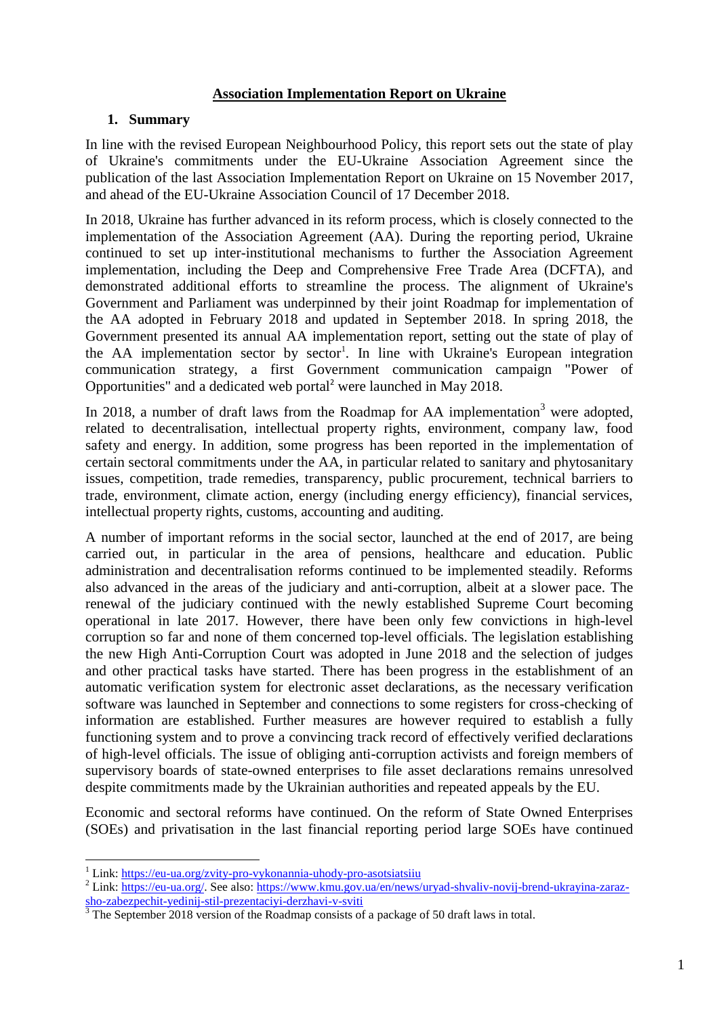### **Association Implementation Report on Ukraine**

### **1. Summary**

In line with the revised European Neighbourhood Policy, this report sets out the state of play of Ukraine's commitments under the EU-Ukraine Association Agreement since the publication of the last Association Implementation Report on Ukraine on 15 November 2017, and ahead of the EU-Ukraine Association Council of 17 December 2018.

In 2018, Ukraine has further advanced in its reform process, which is closely connected to the implementation of the Association Agreement (AA). During the reporting period, Ukraine continued to set up inter-institutional mechanisms to further the Association Agreement implementation, including the Deep and Comprehensive Free Trade Area (DCFTA), and demonstrated additional efforts to streamline the process. The alignment of Ukraine's Government and Parliament was underpinned by their joint Roadmap for implementation of the AA adopted in February 2018 and updated in September 2018. In spring 2018, the Government presented its annual AA implementation report, setting out the state of play of the AA implementation sector by sector<sup>1</sup>. In line with Ukraine's European integration communication strategy, a first Government communication campaign "Power of Opportunities" and [a dedicated web](https://eu-ua.org/) portal<sup>2</sup> were launched in May 2018.

In 2018, a number of draft laws from the Roadmap for AA implementation<sup>3</sup> were adopted, related to decentralisation, intellectual property rights, environment, company law, food safety and energy. In addition, some progress has been reported in the implementation of certain sectoral commitments under the AA, in particular related to sanitary and phytosanitary issues, competition, trade remedies, transparency, public procurement, technical barriers to trade, environment, climate action, energy (including energy efficiency), financial services, intellectual property rights, customs, accounting and auditing.

A number of important reforms in the social sector, launched at the end of 2017, are being carried out, in particular in the area of pensions, healthcare and education. Public administration and decentralisation reforms continued to be implemented steadily. Reforms also advanced in the areas of the judiciary and anti-corruption, albeit at a slower pace. The renewal of the judiciary continued with the newly established Supreme Court becoming operational in late 2017. However, there have been only few convictions in high-level corruption so far and none of them concerned top-level officials. The legislation establishing the new High Anti-Corruption Court was adopted in June 2018 and the selection of judges and other practical tasks have started. There has been progress in the establishment of an automatic verification system for electronic asset declarations, as the necessary verification software was launched in September and connections to some registers for cross-checking of information are established. Further measures are however required to establish a fully functioning system and to prove a convincing track record of effectively verified declarations of high-level officials. The issue of obliging anti-corruption activists and foreign members of supervisory boards of state-owned enterprises to file asset declarations remains unresolved despite commitments made by the Ukrainian authorities and repeated appeals by the EU.

Economic and sectoral reforms have continued. On the reform of State Owned Enterprises (SOEs) and privatisation in the last financial reporting period large SOEs have continued

<sup>&</sup>lt;sup>1</sup> Link:<https://eu-ua.org/zvity-pro-vykonannia-uhody-pro-asotsiatsiiu>

<sup>&</sup>lt;sup>2</sup> Link: [https://eu-ua.org/.](https://eu-ua.org/) See also[: https://www.kmu.gov.ua/en/news/uryad-shvaliv-novij-brend-ukrayina-zaraz](https://www.kmu.gov.ua/en/news/uryad-shvaliv-novij-brend-ukrayina-zaraz-sho-zabezpechit-yedinij-stil-prezentaciyi-derzhavi-v-sviti)[sho-zabezpechit-yedinij-stil-prezentaciyi-derzhavi-v-sviti](https://www.kmu.gov.ua/en/news/uryad-shvaliv-novij-brend-ukrayina-zaraz-sho-zabezpechit-yedinij-stil-prezentaciyi-derzhavi-v-sviti)

 $3$  The September 2018 version of the Roadmap consists of a package of 50 draft laws in total.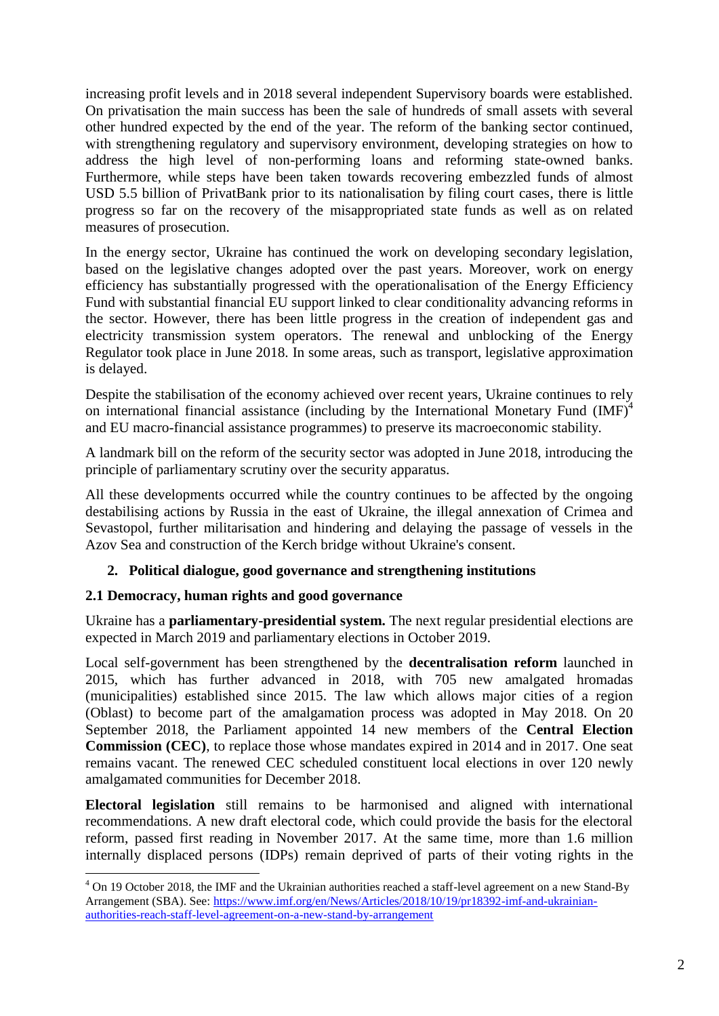increasing profit levels and in 2018 several independent Supervisory boards were established. On privatisation the main success has been the sale of hundreds of small assets with several other hundred expected by the end of the year. The reform of the banking sector continued, with strengthening regulatory and supervisory environment, developing strategies on how to address the high level of non-performing loans and reforming state-owned banks. Furthermore, while steps have been taken towards recovering embezzled funds of almost USD 5.5 billion of PrivatBank prior to its nationalisation by filing court cases, there is little progress so far on the recovery of the misappropriated state funds as well as on related measures of prosecution.

In the energy sector, Ukraine has continued the work on developing secondary legislation, based on the legislative changes adopted over the past years. Moreover, work on energy efficiency has substantially progressed with the operationalisation of the Energy Efficiency Fund with substantial financial EU support linked to clear conditionality advancing reforms in the sector. However, there has been little progress in the creation of independent gas and electricity transmission system operators. The renewal and unblocking of the Energy Regulator took place in June 2018. In some areas, such as transport, legislative approximation is delayed.

Despite the stabilisation of the economy achieved over recent years, Ukraine continues to rely on international financial assistance (including by the International Monetary Fund (IMF)<sup>4</sup> and EU macro-financial assistance programmes) to preserve its macroeconomic stability.

A landmark bill on the reform of the security sector was adopted in June 2018, introducing the principle of parliamentary scrutiny over the security apparatus.

All these developments occurred while the country continues to be affected by the ongoing destabilising actions by Russia in the east of Ukraine, the illegal annexation of Crimea and Sevastopol, further militarisation and hindering and delaying the passage of vessels in the Azov Sea and construction of the Kerch bridge without Ukraine's consent.

# **2. Political dialogue, good governance and strengthening institutions**

# **2.1 Democracy, human rights and good governance**

Ukraine has a **parliamentary-presidential system.** The next regular presidential elections are expected in March 2019 and parliamentary elections in October 2019.

Local self-government has been strengthened by the **decentralisation reform** launched in 2015, which has further advanced in 2018, with 705 new amalgated hromadas (municipalities) established since 2015. The law which allows major cities of a region (Oblast) to become part of the amalgamation process was adopted in May 2018. On 20 September 2018, the Parliament appointed 14 new members of the **Central Election Commission (CEC)**, to replace those whose mandates expired in 2014 and in 2017. One seat remains vacant. The renewed CEC scheduled constituent local elections in over 120 newly amalgamated communities for December 2018.

**Electoral legislation** still remains to be harmonised and aligned with international recommendations. A new draft electoral code, which could provide the basis for the electoral reform, passed first reading in November 2017. At the same time, more than 1.6 million internally displaced persons (IDPs) remain deprived of parts of their voting rights in the

<sup>1</sup> <sup>4</sup> On 19 October 2018, the IMF and the Ukrainian authorities reached a staff-level agreement on a new Stand-By Arrangement (SBA). See: [https://www.imf.org/en/News/Articles/2018/10/19/pr18392-imf-and-ukrainian](https://www.imf.org/en/News/Articles/2018/10/19/pr18392-imf-and-ukrainian-authorities-reach-staff-level-agreement-on-a-new-stand-by-arrangement)[authorities-reach-staff-level-agreement-on-a-new-stand-by-arrangement](https://www.imf.org/en/News/Articles/2018/10/19/pr18392-imf-and-ukrainian-authorities-reach-staff-level-agreement-on-a-new-stand-by-arrangement)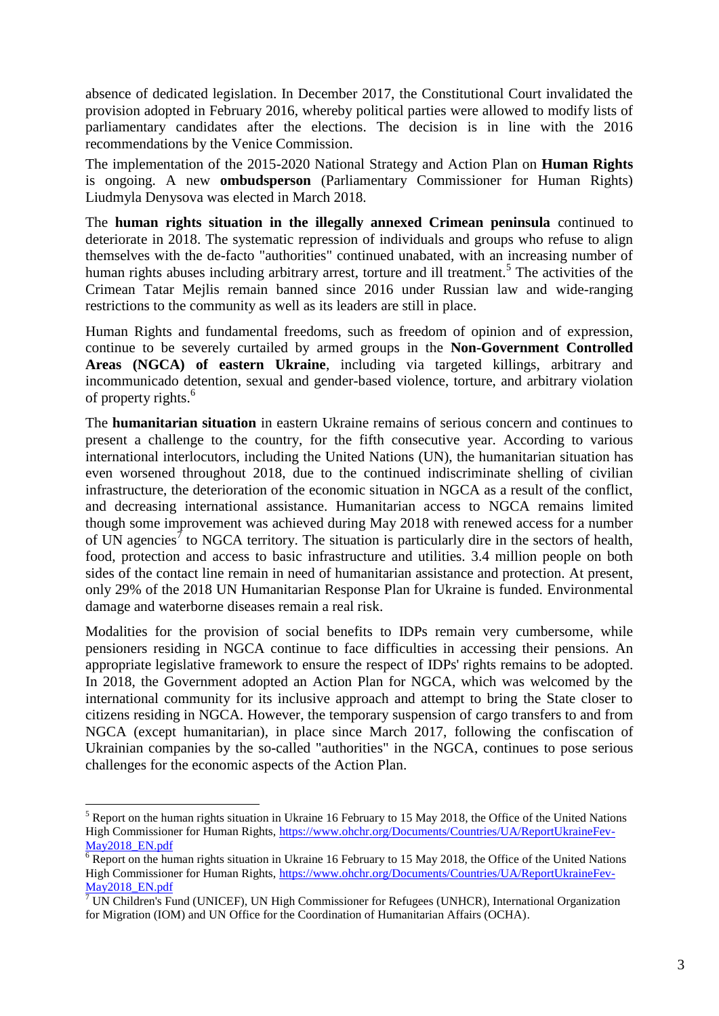absence of dedicated legislation. In December 2017, the Constitutional Court invalidated the provision adopted in February 2016, whereby political parties were allowed to modify lists of parliamentary candidates after the elections. The decision is in line with the 2016 recommendations by the Venice Commission.

The implementation of the 2015-2020 National Strategy and Action Plan on **Human Rights**  is ongoing. A new **ombudsperson** (Parliamentary Commissioner for Human Rights) Liudmyla Denysova was elected in March 2018.

The **human rights situation in the illegally annexed Crimean peninsula** continued to deteriorate in 2018. The systematic repression of individuals and groups who refuse to align themselves with the de-facto "authorities" continued unabated, with an increasing number of human rights abuses including arbitrary arrest, torture and ill treatment.<sup>5</sup> The activities of the Crimean Tatar Mejlis remain banned since 2016 under Russian law and wide-ranging restrictions to the community as well as its leaders are still in place.

Human Rights and fundamental freedoms, such as freedom of opinion and of expression, continue to be severely curtailed by armed groups in the **Non-Government Controlled Areas (NGCA) of eastern Ukraine**, including via targeted killings, arbitrary and incommunicado detention, sexual and gender-based violence, torture, and arbitrary violation of property rights.<sup>6</sup>

The **humanitarian situation** in eastern Ukraine remains of serious concern and continues to present a challenge to the country, for the fifth consecutive year. According to various international interlocutors, including the United Nations (UN), the humanitarian situation has even worsened throughout 2018, due to the continued indiscriminate shelling of civilian infrastructure, the deterioration of the economic situation in NGCA as a result of the conflict, and decreasing international assistance. Humanitarian access to NGCA remains limited though some improvement was achieved during May 2018 with renewed access for a number of UN agencies<sup> $\tau$ </sup> to NGCA territory. The situation is particularly dire in the sectors of health, food, protection and access to basic infrastructure and utilities. 3.4 million people on both sides of the contact line remain in need of humanitarian assistance and protection. At present, only 29% of the 2018 UN Humanitarian Response Plan for Ukraine is funded. Environmental damage and waterborne diseases remain a real risk.

Modalities for the provision of social benefits to IDPs remain very cumbersome, while pensioners residing in NGCA continue to face difficulties in accessing their pensions. An appropriate legislative framework to ensure the respect of IDPs' rights remains to be adopted. In 2018, the Government adopted an Action Plan for NGCA, which was welcomed by the international community for its inclusive approach and attempt to bring the State closer to citizens residing in NGCA. However, the temporary suspension of cargo transfers to and from NGCA (except humanitarian), in place since March 2017, following the confiscation of Ukrainian companies by the so-called "authorities" in the NGCA, continues to pose serious challenges for the economic aspects of the Action Plan.

 $<sup>5</sup>$  Report on the human rights situation in Ukraine 16 February to 15 May 2018, the Office of the United Nations</sup> High Commissioner for Human Rights, [https://www.ohchr.org/Documents/Countries/UA/ReportUkraineFev-](https://www.ohchr.org/Documents/Countries/UA/ReportUkraineFev-May2018_EN.pdf)[May2018\\_EN.pdf](https://www.ohchr.org/Documents/Countries/UA/ReportUkraineFev-May2018_EN.pdf)

 $\overline{6}$  Report on the human rights situation in Ukraine 16 February to 15 May 2018, the Office of the United Nations High Commissioner for Human Rights, [https://www.ohchr.org/Documents/Countries/UA/ReportUkraineFev-](https://www.ohchr.org/Documents/Countries/UA/ReportUkraineFev-May2018_EN.pdf)[May2018\\_EN.pdf](https://www.ohchr.org/Documents/Countries/UA/ReportUkraineFev-May2018_EN.pdf)

 $\sqrt{7}$  UN Children's Fund (UNICEF), UN High Commissioner for Refugees (UNHCR), International Organization for Migration (IOM) and UN Office for the Coordination of Humanitarian Affairs (OCHA).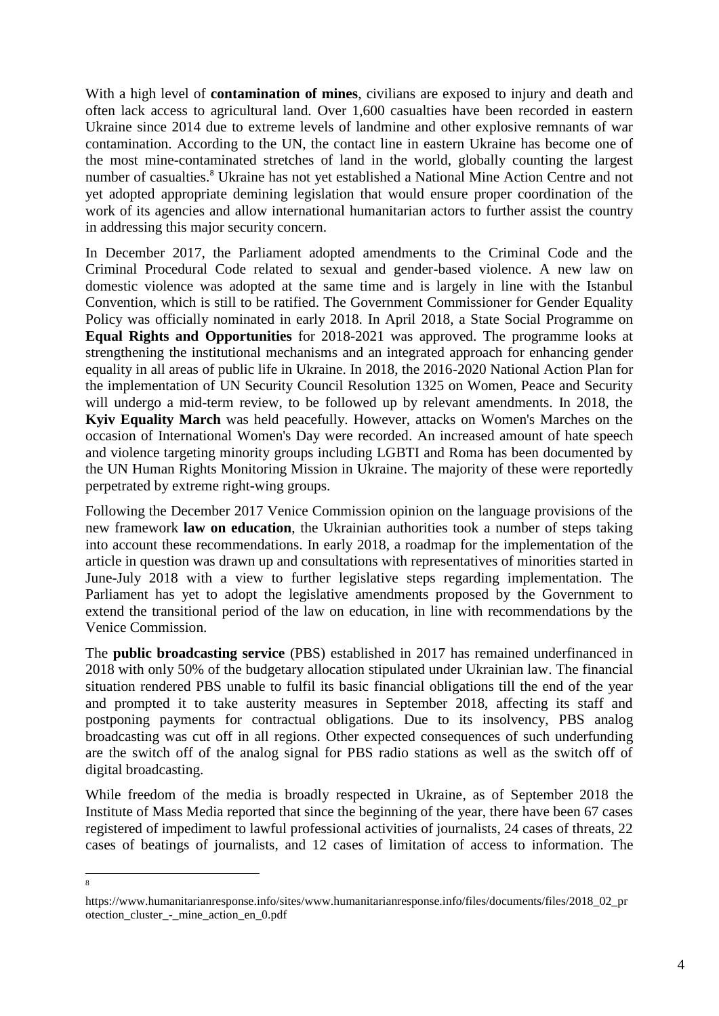With a high level of **contamination of mines**, civilians are exposed to injury and death and often lack access to agricultural land. Over 1,600 casualties have been recorded in eastern Ukraine since 2014 due to extreme levels of landmine and other explosive remnants of war contamination. According to the UN, the contact line in eastern Ukraine has become one of the most mine-contaminated stretches of land in the world, globally counting the largest number of casualties.<sup>8</sup> Ukraine has not yet established a National Mine Action Centre and not yet adopted appropriate demining legislation that would ensure proper coordination of the work of its agencies and allow international humanitarian actors to further assist the country in addressing this major security concern.

In December 2017, the Parliament adopted amendments to the Criminal Code and the Criminal Procedural Code related to sexual and gender-based violence. A new law on domestic violence was adopted at the same time and is largely in line with the Istanbul Convention, which is still to be ratified. The Government Commissioner for Gender Equality Policy was officially nominated in early 2018. In April 2018, a State Social Programme on **Equal Rights and Opportunities** for 2018-2021 was approved. The programme looks at strengthening the institutional mechanisms and an integrated approach for enhancing gender equality in all areas of public life in Ukraine. In 2018, the 2016-2020 National Action Plan for the implementation of UN Security Council Resolution 1325 on Women, Peace and Security will undergo a mid-term review, to be followed up by relevant amendments. In 2018, the **Kyiv Equality March** was held peacefully. However, attacks on Women's Marches on the occasion of International Women's Day were recorded. An increased amount of hate speech and violence targeting minority groups including LGBTI and Roma has been documented by the UN Human Rights Monitoring Mission in Ukraine. The majority of these were reportedly perpetrated by extreme right-wing groups.

Following the December 2017 Venice Commission opinion on the language provisions of the new framework **law on education**, the Ukrainian authorities took a number of steps taking into account these recommendations. In early 2018, a roadmap for the implementation of the article in question was drawn up and consultations with representatives of minorities started in June-July 2018 with a view to further legislative steps regarding implementation. The Parliament has yet to adopt the legislative amendments proposed by the Government to extend the transitional period of the law on education, in line with recommendations by the Venice Commission.

The **public broadcasting service** (PBS) established in 2017 has remained underfinanced in 2018 with only 50% of the budgetary allocation stipulated under Ukrainian law. The financial situation rendered PBS unable to fulfil its basic financial obligations till the end of the year and prompted it to take austerity measures in September 2018, affecting its staff and postponing payments for contractual obligations. Due to its insolvency, PBS analog broadcasting was cut off in all regions. Other expected consequences of such underfunding are the switch off of the analog signal for PBS radio stations as well as the switch off of digital broadcasting.

While freedom of the media is broadly respected in Ukraine, as of September 2018 the Institute of Mass Media reported that since the beginning of the year, there have been 67 cases registered of impediment to lawful professional activities of journalists, 24 cases of threats, 22 cases of beatings of journalists, and 12 cases of limitation of access to information. The

-<br>8

https://www.humanitarianresponse.info/sites/www.humanitarianresponse.info/files/documents/files/2018\_02\_pr otection\_cluster\_-\_mine\_action\_en\_0.pdf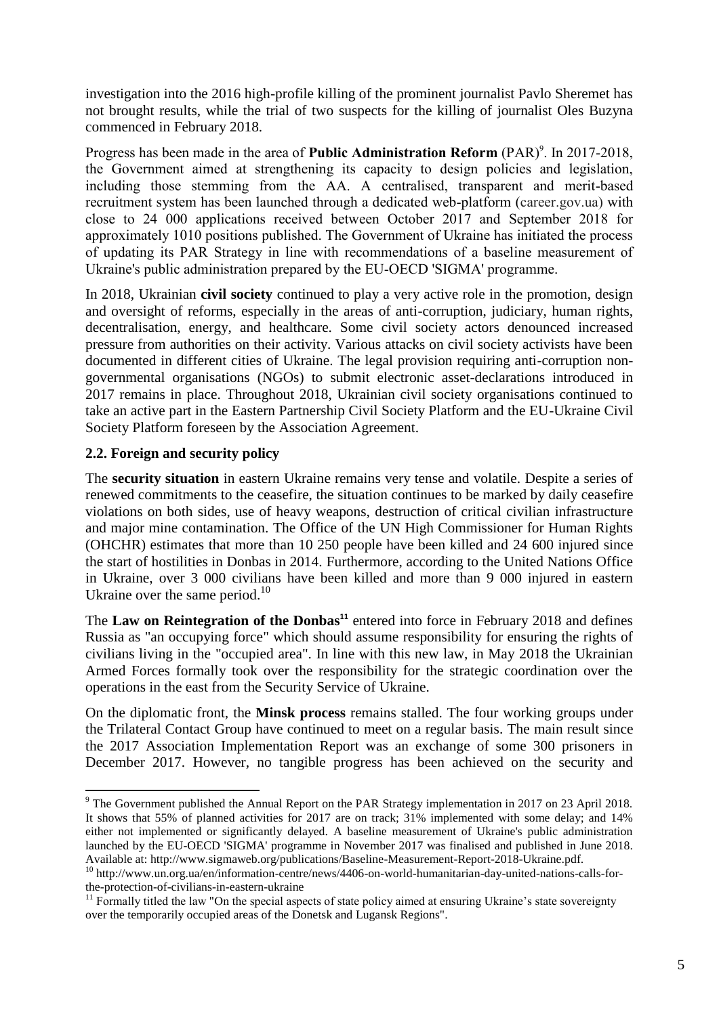investigation into the 2016 high-profile killing of the prominent journalist Pavlo Sheremet has not brought results, while the trial of two suspects for the killing of journalist Oles Buzyna commenced in February 2018.

Progress has been made in the area of **Public Administration Reform** (PAR)<sup>9</sup>. In 2017-2018, the Government aimed at strengthening its capacity to design policies and legislation, including those stemming from the AA. A centralised, transparent and merit-based recruitment system has been launched through a dedicated web-platform [\(career.gov.ua\)](https://protect2.fireeye.com/url?k=5a45044ba47ecf44.5a4796e3-8a09b2b8b5cb4e0d&u=http://career.gov.ua) with close to 24 000 applications received between October 2017 and September 2018 for approximately 1010 positions published. The Government of Ukraine has initiated the process of updating its PAR Strategy in line with recommendations of a baseline measurement of Ukraine's public administration prepared by the EU-OECD 'SIGMA' programme.

In 2018, Ukrainian **civil society** continued to play a very active role in the promotion, design and oversight of reforms, especially in the areas of anti-corruption, judiciary, human rights, decentralisation, energy, and healthcare. Some civil society actors denounced increased pressure from authorities on their activity. Various attacks on civil society activists have been documented in different cities of Ukraine. The legal provision requiring anti-corruption nongovernmental organisations (NGOs) to submit electronic asset-declarations introduced in 2017 remains in place. Throughout 2018, Ukrainian civil society organisations continued to take an active part in the Eastern Partnership Civil Society Platform and the EU-Ukraine Civil Society Platform foreseen by the Association Agreement.

# **2.2. Foreign and security policy**

 $\overline{\phantom{a}}$ 

The **security situation** in eastern Ukraine remains very tense and volatile. Despite a series of renewed commitments to the ceasefire, the situation continues to be marked by daily ceasefire violations on both sides, use of heavy weapons, destruction of critical civilian infrastructure and major mine contamination. The Office of the UN High Commissioner for Human Rights (OHCHR) estimates that more than 10 250 people have been killed and 24 600 injured since the start of hostilities in Donbas in 2014. Furthermore, according to the United Nations Office in Ukraine, over 3 000 civilians have been killed and more than 9 000 injured in eastern Ukraine over the same period.<sup>10</sup>

The Law on Reintegration of the Donbas<sup>11</sup> entered into force in February 2018 and defines Russia as "an occupying force" which should assume responsibility for ensuring the rights of civilians living in the "occupied area". In line with this new law, in May 2018 the Ukrainian Armed Forces formally took over the responsibility for the strategic coordination over the operations in the east from the Security Service of Ukraine.

On the diplomatic front, the **Minsk process** remains stalled. The four working groups under the Trilateral Contact Group have continued to meet on a regular basis. The main result since the 2017 Association Implementation Report was an exchange of some 300 prisoners in December 2017. However, no tangible progress has been achieved on the security and

<sup>&</sup>lt;sup>9</sup> The Government published the Annual Report on the PAR Strategy implementation in 2017 on 23 April 2018. It shows that 55% of planned activities for 2017 are on track; 31% implemented with some delay; and 14% either not implemented or significantly delayed. A baseline measurement of Ukraine's public administration launched by the EU-OECD 'SIGMA' programme in November 2017 was finalised and published in June 2018. Available at: http://www.sigmaweb.org/publications/Baseline-Measurement-Report-2018-Ukraine.pdf.

<sup>10</sup> http://www.un.org.ua/en/information-centre/news/4406-on-world-humanitarian-day-united-nations-calls-forthe-protection-of-civilians-in-eastern-ukraine

<sup>&</sup>lt;sup>11</sup> Formally titled the law "On the special aspects of state policy aimed at ensuring Ukraine's state sovereignty over the temporarily occupied areas of the Donetsk and Lugansk Regions".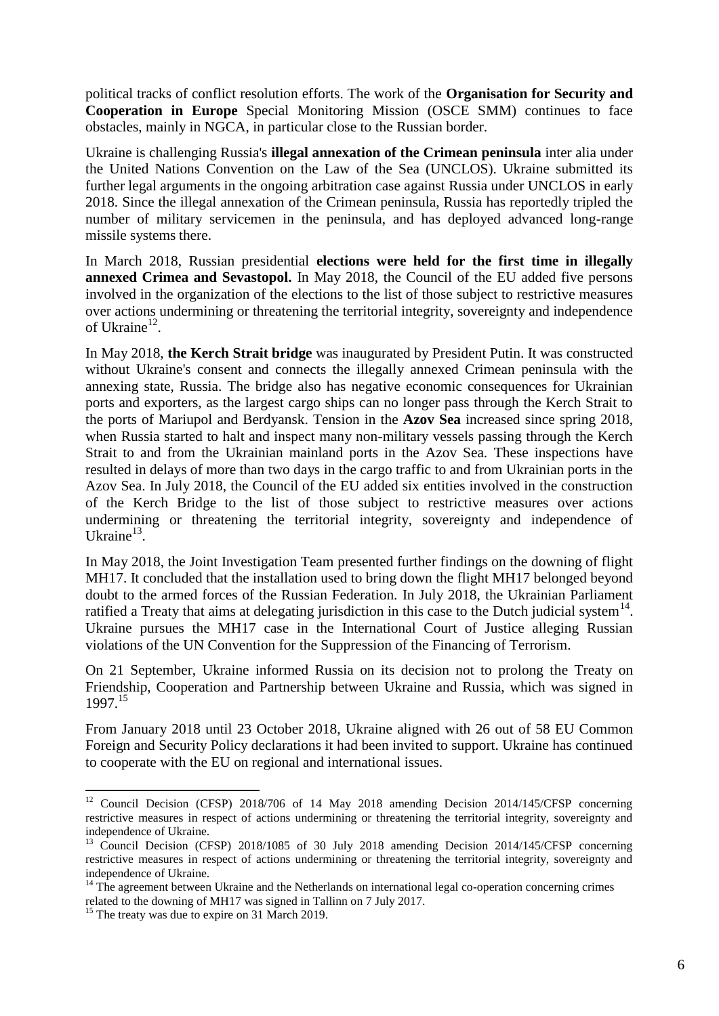political tracks of conflict resolution efforts. The work of the **Organisation for Security and Cooperation in Europe** Special Monitoring Mission (OSCE SMM) continues to face obstacles, mainly in NGCA, in particular close to the Russian border.

Ukraine is challenging Russia's **illegal annexation of the Crimean peninsula** inter alia under the United Nations Convention on the Law of the Sea (UNCLOS). Ukraine submitted its further legal arguments in the ongoing arbitration case against Russia under UNCLOS in early 2018. Since the illegal annexation of the Crimean peninsula, Russia has reportedly tripled the number of military servicemen in the peninsula, and has deployed advanced long-range missile systems there.

In March 2018, Russian presidential **elections were held for the first time in illegally annexed Crimea and Sevastopol.** In May 2018, the Council of the EU added five persons involved in the organization of the elections to the list of those subject to restrictive measures over actions undermining or threatening the territorial integrity, sovereignty and independence of Ukraine<sup>12</sup>.

In May 2018, **the Kerch Strait bridge** was inaugurated by President Putin. It was constructed without Ukraine's consent and connects the illegally annexed Crimean peninsula with the annexing state, Russia. The bridge also has negative economic consequences for Ukrainian ports and exporters, as the largest cargo ships can no longer pass through the Kerch Strait to the ports of Mariupol and Berdyansk. Tension in the **Azov Sea** increased since spring 2018, when Russia started to halt and inspect many non-military vessels passing through the Kerch Strait to and from the Ukrainian mainland ports in the Azov Sea. These inspections have resulted in delays of more than two days in the cargo traffic to and from Ukrainian ports in the Azov Sea. In July 2018, the Council of the EU added six entities involved in the construction of the Kerch Bridge to the list of those subject to restrictive measures over actions undermining or threatening the territorial integrity, sovereignty and independence of Ukraine $^{13}$ .

In May 2018, the Joint Investigation Team presented further findings on the downing of flight MH17. It concluded that the installation used to bring down the flight MH17 belonged beyond doubt to the armed forces of the Russian Federation. In July 2018, the Ukrainian Parliament ratified a Treaty that aims at delegating jurisdiction in this case to the Dutch judicial system<sup>14</sup>. Ukraine pursues the MH17 case in the International Court of Justice alleging Russian violations of the UN Convention for the Suppression of the Financing of Terrorism.

On 21 September, Ukraine informed Russia on its decision not to prolong the Treaty on Friendship, Cooperation and Partnership between Ukraine and Russia, which was signed in 1997.<sup>15</sup>

From January 2018 until 23 October 2018, Ukraine aligned with 26 out of 58 EU Common Foreign and Security Policy declarations it had been invited to support. Ukraine has continued to cooperate with the EU on regional and international issues.

 $\overline{\phantom{a}}$ <sup>12</sup> Council Decision (CFSP) 2018/706 of 14 May 2018 amending Decision 2014/145/CFSP concerning restrictive measures in respect of actions undermining or threatening the territorial integrity, sovereignty and independence of Ukraine.

<sup>&</sup>lt;sup>13</sup> Council Decision (CFSP) 2018/1085 of 30 July 2018 amending Decision 2014/145/CFSP concerning restrictive measures in respect of actions undermining or threatening the territorial integrity, sovereignty and independence of Ukraine.

<sup>&</sup>lt;sup>14</sup> The agreement between Ukraine and the Netherlands on international legal co-operation concerning crimes related to the downing of MH17 was signed in Tallinn on 7 July 2017.

<sup>&</sup>lt;sup>15</sup> The treaty was due to expire on 31 March 2019.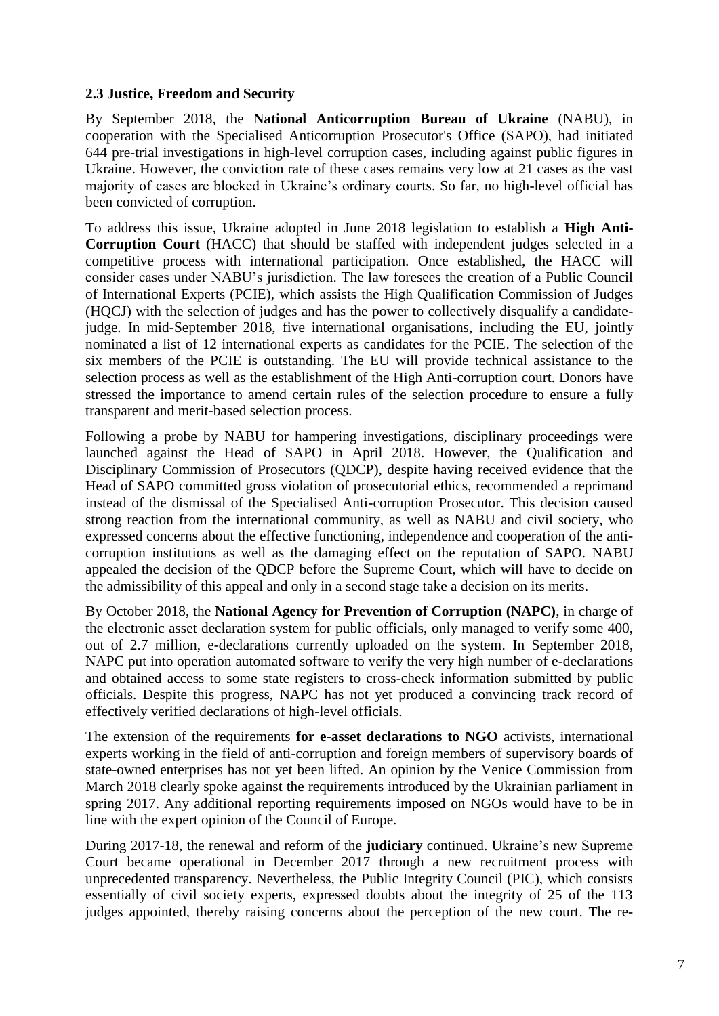### **2.3 Justice, Freedom and Security**

By September 2018, the **National Anticorruption Bureau of Ukraine** (NABU), in cooperation with the Specialised Anticorruption Prosecutor's Office (SAPO), had initiated 644 pre-trial investigations in high-level corruption cases, including against public figures in Ukraine. However, the conviction rate of these cases remains very low at 21 cases as the vast majority of cases are blocked in Ukraine's ordinary courts. So far, no high-level official has been convicted of corruption.

To address this issue, Ukraine adopted in June 2018 legislation to establish a **High Anti-Corruption Court** (HACC) that should be staffed with independent judges selected in a competitive process with international participation. Once established, the HACC will consider cases under NABU's jurisdiction. The law foresees the creation of a Public Council of International Experts (PCIE), which assists the High Qualification Commission of Judges (HQCJ) with the selection of judges and has the power to collectively disqualify a candidatejudge. In mid-September 2018, five international organisations, including the EU, jointly nominated a list of 12 international experts as candidates for the PCIE. The selection of the six members of the PCIE is outstanding. The EU will provide technical assistance to the selection process as well as the establishment of the High Anti-corruption court. Donors have stressed the importance to amend certain rules of the selection procedure to ensure a fully transparent and merit-based selection process.

Following a probe by NABU for hampering investigations, disciplinary proceedings were launched against the Head of SAPO in April 2018. However, the Qualification and Disciplinary Commission of Prosecutors (QDCP), despite having received evidence that the Head of SAPO committed gross violation of prosecutorial ethics, recommended a reprimand instead of the dismissal of the Specialised Anti-corruption Prosecutor. This decision caused strong reaction from the international community, as well as NABU and civil society, who expressed concerns about the effective functioning, independence and cooperation of the anticorruption institutions as well as the damaging effect on the reputation of SAPO. NABU appealed the decision of the QDCP before the Supreme Court, which will have to decide on the admissibility of this appeal and only in a second stage take a decision on its merits.

By October 2018, the **National Agency for Prevention of Corruption (NAPC)**, in charge of the electronic asset declaration system for public officials, only managed to verify some 400, out of 2.7 million, e-declarations currently uploaded on the system. In September 2018, NAPC put into operation automated software to verify the very high number of e-declarations and obtained access to some state registers to cross-check information submitted by public officials. Despite this progress, NAPC has not yet produced a convincing track record of effectively verified declarations of high-level officials.

The extension of the requirements **for e-asset declarations to NGO** activists, international experts working in the field of anti-corruption and foreign members of supervisory boards of state-owned enterprises has not yet been lifted. An opinion by the Venice Commission from March 2018 clearly spoke against the requirements introduced by the Ukrainian parliament in spring 2017. Any additional reporting requirements imposed on NGOs would have to be in line with the expert opinion of the Council of Europe.

During 2017-18, the renewal and reform of the **judiciary** continued. Ukraine's new Supreme Court became operational in December 2017 through a new recruitment process with unprecedented transparency. Nevertheless, the Public Integrity Council (PIC), which consists essentially of civil society experts, expressed doubts about the integrity of 25 of the 113 judges appointed, thereby raising concerns about the perception of the new court. The re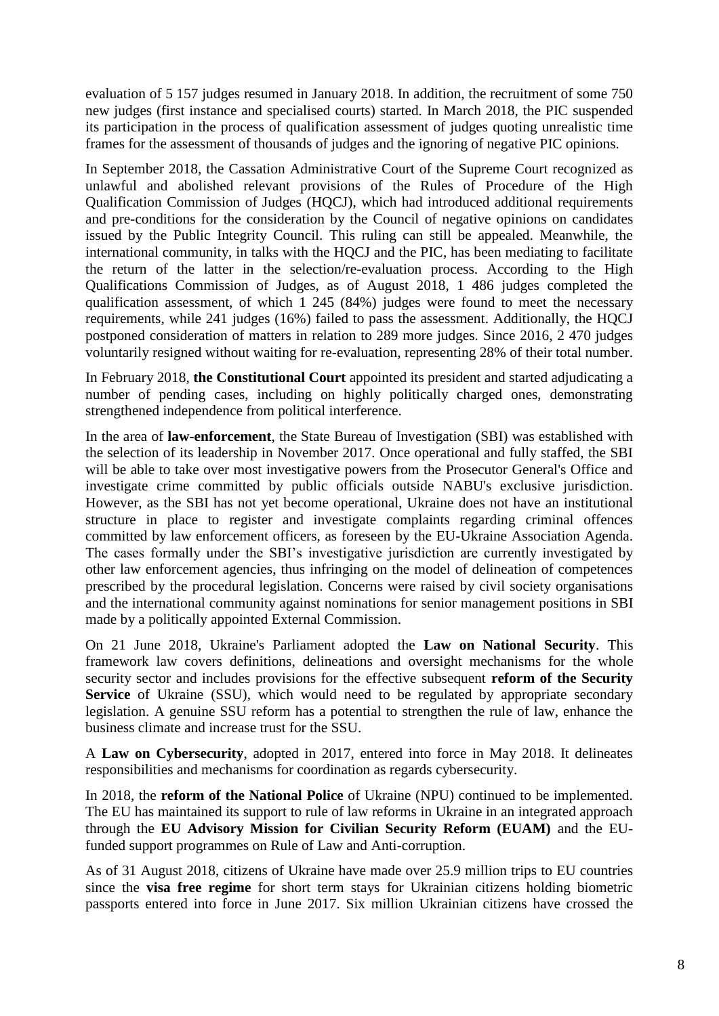evaluation of 5 157 judges resumed in January 2018. In addition, the recruitment of some 750 new judges (first instance and specialised courts) started. In March 2018, the PIC suspended its participation in the process of qualification assessment of judges quoting unrealistic time frames for the assessment of thousands of judges and the ignoring of negative PIC opinions.

In September 2018, the Cassation Administrative Court of the Supreme Court recognized as unlawful and abolished relevant provisions of the Rules of Procedure of the High Qualification Commission of Judges (HQCJ), which had introduced additional requirements and pre-conditions for the consideration by the Council of negative opinions on candidates issued by the Public Integrity Council. This ruling can still be appealed. Meanwhile, the international community, in talks with the HQCJ and the PIC, has been mediating to facilitate the return of the latter in the selection/re-evaluation process. According to the High Qualifications Commission of Judges, as of August 2018, 1 486 judges completed the qualification assessment, of which 1 245 (84%) judges were found to meet the necessary requirements, while 241 judges (16%) failed to pass the assessment. Additionally, the HQCJ postponed consideration of matters in relation to 289 more judges. Since 2016, 2 470 judges voluntarily resigned without waiting for re-evaluation, representing 28% of their total number.

In February 2018, **the Constitutional Court** appointed its president and started adjudicating a number of pending cases, including on highly politically charged ones, demonstrating strengthened independence from political interference.

In the area of **law-enforcement**, the State Bureau of Investigation (SBI) was established with the selection of its leadership in November 2017. Once operational and fully staffed, the SBI will be able to take over most investigative powers from the Prosecutor General's Office and investigate crime committed by public officials outside NABU's exclusive jurisdiction. However, as the SBI has not yet become operational, Ukraine does not have an institutional structure in place to register and investigate complaints regarding criminal offences committed by law enforcement officers, as foreseen by the EU-Ukraine Association Agenda. The cases formally under the SBI's investigative jurisdiction are currently investigated by other law enforcement agencies, thus infringing on the model of delineation of competences prescribed by the procedural legislation. Concerns were raised by civil society organisations and the international community against nominations for senior management positions in SBI made by a politically appointed External Commission.

On 21 June 2018, Ukraine's Parliament adopted the **Law on National Security**. This framework law covers definitions, delineations and oversight mechanisms for the whole security sector and includes provisions for the effective subsequent **reform of the Security Service** of Ukraine (SSU), which would need to be regulated by appropriate secondary legislation. A genuine SSU reform has a potential to strengthen the rule of law, enhance the business climate and increase trust for the SSU.

A **Law on Cybersecurity**, adopted in 2017, entered into force in May 2018. It delineates responsibilities and mechanisms for coordination as regards cybersecurity.

In 2018, the **reform of the National Police** of Ukraine (NPU) continued to be implemented. The EU has maintained its support to rule of law reforms in Ukraine in an integrated approach through the **EU Advisory Mission for Civilian Security Reform (EUAM)** and the EUfunded support programmes on Rule of Law and Anti-corruption.

As of 31 August 2018, citizens of Ukraine have made over 25.9 million trips to EU countries since the **visa free regime** for short term stays for Ukrainian citizens holding biometric passports entered into force in June 2017. Six million Ukrainian citizens have crossed the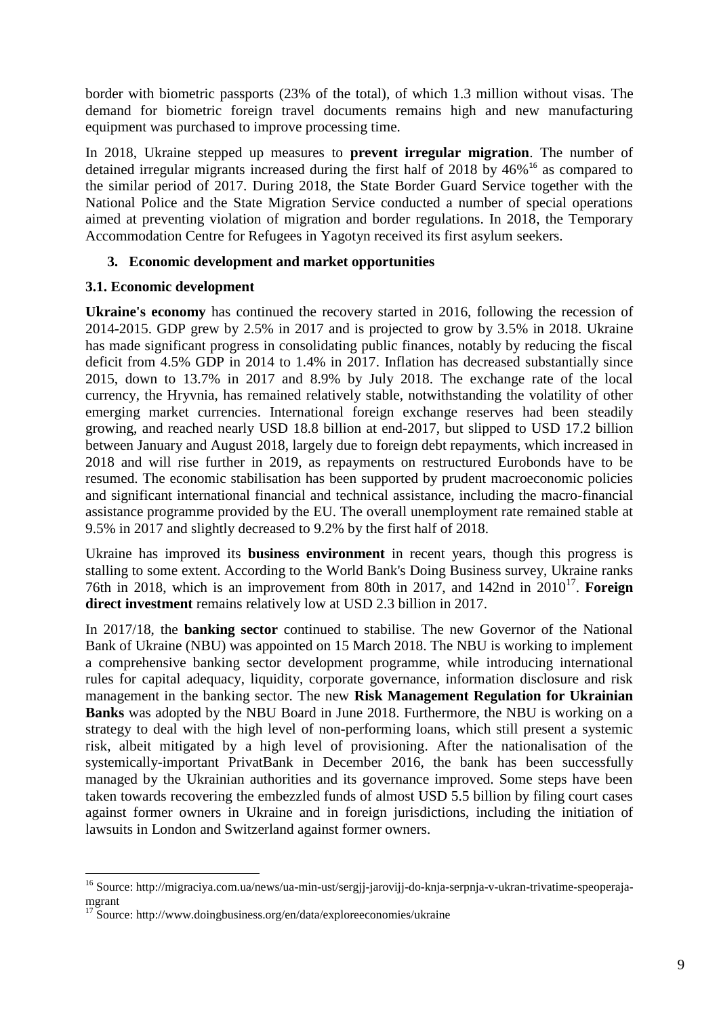border with biometric passports (23% of the total), of which 1.3 million without visas. The demand for biometric foreign travel documents remains high and new manufacturing equipment was purchased to improve processing time.

In 2018, Ukraine stepped up measures to **prevent irregular migration**. The number of detained irregular migrants increased during the first half of 2018 by 46%<sup>16</sup> as compared to the similar period of 2017. During 2018, the State Border Guard Service together with the National Police and the State Migration Service conducted a number of special operations aimed at preventing violation of migration and border regulations. In 2018, the Temporary Accommodation Centre for Refugees in Yagotyn received its first asylum seekers.

# **3. Economic development and market opportunities**

# **3.1. Economic development**

**Ukraine's economy** has continued the recovery started in 2016, following the recession of 2014-2015. GDP grew by 2.5% in 2017 and is projected to grow by 3.5% in 2018. Ukraine has made significant progress in consolidating public finances, notably by reducing the fiscal deficit from 4.5% GDP in 2014 to 1.4% in 2017. Inflation has decreased substantially since 2015, down to 13.7% in 2017 and 8.9% by July 2018. The exchange rate of the local currency, the Hryvnia, has remained relatively stable, notwithstanding the volatility of other emerging market currencies. International foreign exchange reserves had been steadily growing, and reached nearly USD 18.8 billion at end-2017, but slipped to USD 17.2 billion between January and August 2018, largely due to foreign debt repayments, which increased in 2018 and will rise further in 2019, as repayments on restructured Eurobonds have to be resumed. The economic stabilisation has been supported by prudent macroeconomic policies and significant international financial and technical assistance, including the macro-financial assistance programme provided by the EU. The overall unemployment rate remained stable at 9.5% in 2017 and slightly decreased to 9.2% by the first half of 2018.

Ukraine has improved its **business environment** in recent years, though this progress is stalling to some extent. According to the World Bank's Doing Business survey, Ukraine ranks 76th in 2018, which is an improvement from 80th in 2017, and 142nd in 2010<sup>17</sup>. Foreign **direct investment** remains relatively low at USD 2.3 billion in 2017.

In 2017/18, the **banking sector** continued to stabilise. The new Governor of the National Bank of Ukraine (NBU) was appointed on 15 March 2018. The NBU is working to implement a comprehensive banking sector development programme, while introducing international rules for capital adequacy, liquidity, corporate governance, information disclosure and risk management in the banking sector. The new **Risk Management Regulation for Ukrainian Banks** was adopted by the NBU Board in June 2018. Furthermore, the NBU is working on a strategy to deal with the high level of non-performing loans, which still present a systemic risk, albeit mitigated by a high level of provisioning. After the nationalisation of the systemically-important PrivatBank in December 2016, the bank has been successfully managed by the Ukrainian authorities and its governance improved. Some steps have been taken towards recovering the embezzled funds of almost USD 5.5 billion by filing court cases against former owners in Ukraine and in foreign jurisdictions, including the initiation of lawsuits in London and Switzerland against former owners.

1

<sup>&</sup>lt;sup>16</sup> Source: http://migraciya.com.ua/news/ua-min-ust/sergjj-jarovijj-do-knja-serpnja-v-ukran-trivatime-speoperajamgrant

 $17$  Source: http://www.doingbusiness.org/en/data/exploreeconomies/ukraine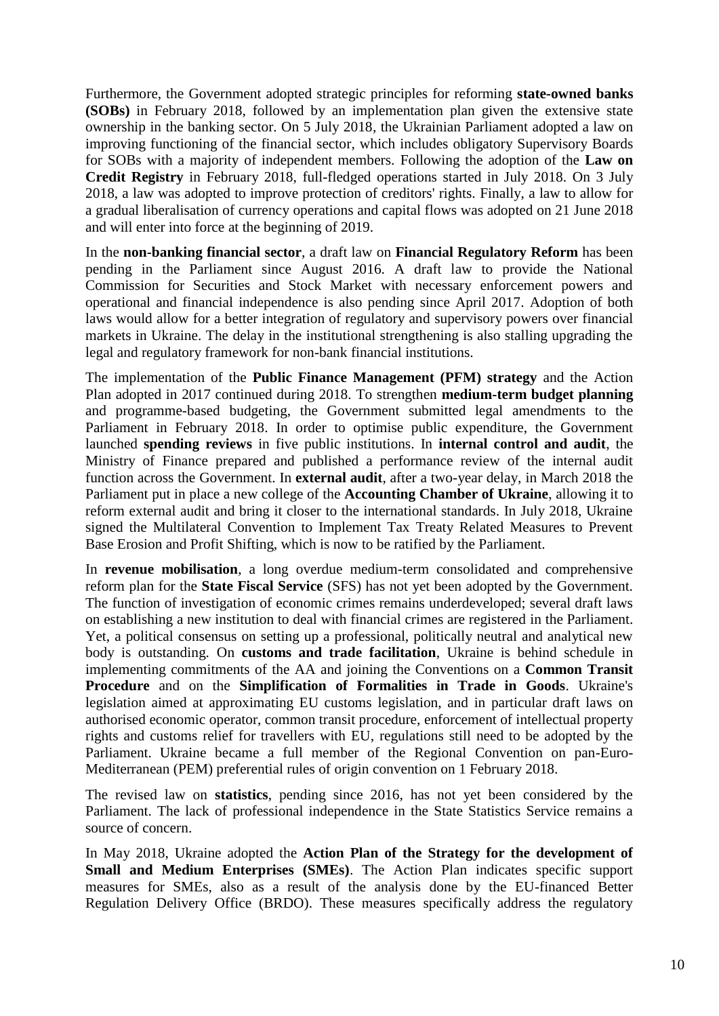Furthermore, the Government adopted strategic principles for reforming **state-owned banks (SOBs)** in February 2018, followed by an implementation plan given the extensive state ownership in the banking sector. On 5 July 2018, the Ukrainian Parliament adopted a law on improving functioning of the financial sector, which includes obligatory Supervisory Boards for SOBs with a majority of independent members. Following the adoption of the **Law on Credit Registry** in February 2018, full-fledged operations started in July 2018. On 3 July 2018, a law was adopted to improve protection of creditors' rights. Finally, a law to allow for a gradual liberalisation of currency operations and capital flows was adopted on 21 June 2018 and will enter into force at the beginning of 2019.

In the **non-banking financial sector**, a draft law on **Financial Regulatory Reform** has been pending in the Parliament since August 2016. A draft law to provide the National Commission for Securities and Stock Market with necessary enforcement powers and operational and financial independence is also pending since April 2017. Adoption of both laws would allow for a better integration of regulatory and supervisory powers over financial markets in Ukraine. The delay in the institutional strengthening is also stalling upgrading the legal and regulatory framework for non-bank financial institutions.

The implementation of the **Public Finance Management (PFM) strategy** and the Action Plan adopted in 2017 continued during 2018. To strengthen **medium-term budget planning** and programme-based budgeting, the Government submitted legal amendments to the Parliament in February 2018. In order to optimise public expenditure, the Government launched **spending reviews** in five public institutions. In **internal control and audit**, the Ministry of Finance prepared and published a performance review of the internal audit function across the Government. In **external audit**, after a two-year delay, in March 2018 the Parliament put in place a new college of the **Accounting Chamber of Ukraine**, allowing it to reform external audit and bring it closer to the international standards. In July 2018, Ukraine signed the Multilateral Convention to Implement Tax Treaty Related Measures to Prevent Base Erosion and Profit Shifting, which is now to be ratified by the Parliament.

In **revenue mobilisation**, a long overdue medium-term consolidated and comprehensive reform plan for the **State Fiscal Service** (SFS) has not yet been adopted by the Government. The function of investigation of economic crimes remains underdeveloped; several draft laws on establishing a new institution to deal with financial crimes are registered in the Parliament. Yet, a political consensus on setting up a professional, politically neutral and analytical new body is outstanding. On **customs and trade facilitation**, Ukraine is behind schedule in implementing commitments of the AA and joining the Conventions on a **Common Transit Procedure** and on the **Simplification of Formalities in Trade in Goods**. Ukraine's legislation aimed at approximating EU customs legislation, and in particular draft laws on authorised economic operator, common transit procedure, enforcement of intellectual property rights and customs relief for travellers with EU, regulations still need to be adopted by the Parliament. Ukraine became a full member of the Regional Convention on pan-Euro-Mediterranean (PEM) preferential rules of origin convention on 1 February 2018.

The revised law on **statistics**, pending since 2016, has not yet been considered by the Parliament. The lack of professional independence in the State Statistics Service remains a source of concern.

In May 2018, Ukraine adopted the **Action Plan of the Strategy for the development of Small and Medium Enterprises (SMEs)**. The Action Plan indicates specific support measures for SMEs, also as a result of the analysis done by the EU-financed Better Regulation Delivery Office (BRDO). These measures specifically address the regulatory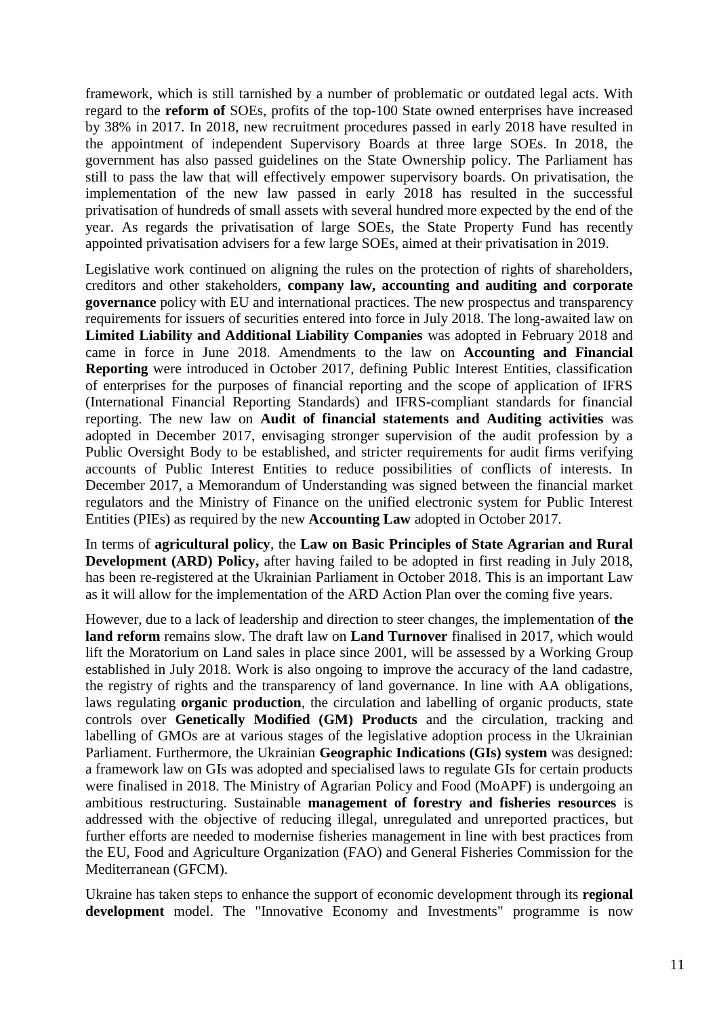framework, which is still tarnished by a number of problematic or outdated legal acts. With regard to the **reform of** SOEs, profits of the top-100 State owned enterprises have increased by 38% in 2017. In 2018, new recruitment procedures passed in early 2018 have resulted in the appointment of independent Supervisory Boards at three large SOEs. In 2018, the government has also passed guidelines on the State Ownership policy. The Parliament has still to pass the law that will effectively empower supervisory boards. On privatisation, the implementation of the new law passed in early 2018 has resulted in the successful privatisation of hundreds of small assets with several hundred more expected by the end of the year. As regards the privatisation of large SOEs, the State Property Fund has recently appointed privatisation advisers for a few large SOEs, aimed at their privatisation in 2019.

Legislative work continued on aligning the rules on the protection of rights of shareholders, creditors and other stakeholders, **company law, accounting and auditing and corporate governance** policy with EU and international practices. The new prospectus and transparency requirements for issuers of securities entered into force in July 2018. The long-awaited law on **Limited Liability and Additional Liability Companies** was adopted in February 2018 and came in force in June 2018. Amendments to the law on **Accounting and Financial Reporting** were introduced in October 2017, defining Public Interest Entities, classification of enterprises for the purposes of financial reporting and the scope of application of IFRS (International Financial Reporting Standards) and IFRS-compliant standards for financial reporting. The new law on **Audit of financial statements and Auditing activities** was adopted in December 2017, envisaging stronger supervision of the audit profession by a Public Oversight Body to be established, and stricter requirements for audit firms verifying accounts of Public Interest Entities to reduce possibilities of conflicts of interests. In December 2017, a Memorandum of Understanding was signed between the financial market regulators and the Ministry of Finance on the unified electronic system for Public Interest Entities (PIEs) as required by the new **Accounting Law** adopted in October 2017.

In terms of **agricultural policy**, the **Law on Basic Principles of State Agrarian and Rural Development (ARD) Policy,** after having failed to be adopted in first reading in July 2018, has been re-registered at the Ukrainian Parliament in October 2018. This is an important Law as it will allow for the implementation of the ARD Action Plan over the coming five years.

However, due to a lack of leadership and direction to steer changes, the implementation of **the land reform** remains slow. The draft law on **Land Turnover** finalised in 2017, which would lift the Moratorium on Land sales in place since 2001, will be assessed by a Working Group established in July 2018. Work is also ongoing to improve the accuracy of the land cadastre, the registry of rights and the transparency of land governance. In line with AA obligations, laws regulating **organic production**, the circulation and labelling of organic products, state controls over **Genetically Modified (GM) Products** and the circulation, tracking and labelling of GMOs are at various stages of the legislative adoption process in the Ukrainian Parliament. Furthermore, the Ukrainian **Geographic Indications (GIs) system** was designed: a framework law on GIs was adopted and specialised laws to regulate GIs for certain products were finalised in 2018. The Ministry of Agrarian Policy and Food (MoAPF) is undergoing an ambitious restructuring. Sustainable **management of forestry and fisheries resources** is addressed with the objective of reducing illegal, unregulated and unreported practices, but further efforts are needed to modernise fisheries management in line with best practices from the EU, Food and Agriculture Organization (FAO) and General Fisheries Commission for the Mediterranean (GFCM).

Ukraine has taken steps to enhance the support of economic development through its **regional development** model. The "Innovative Economy and Investments" programme is now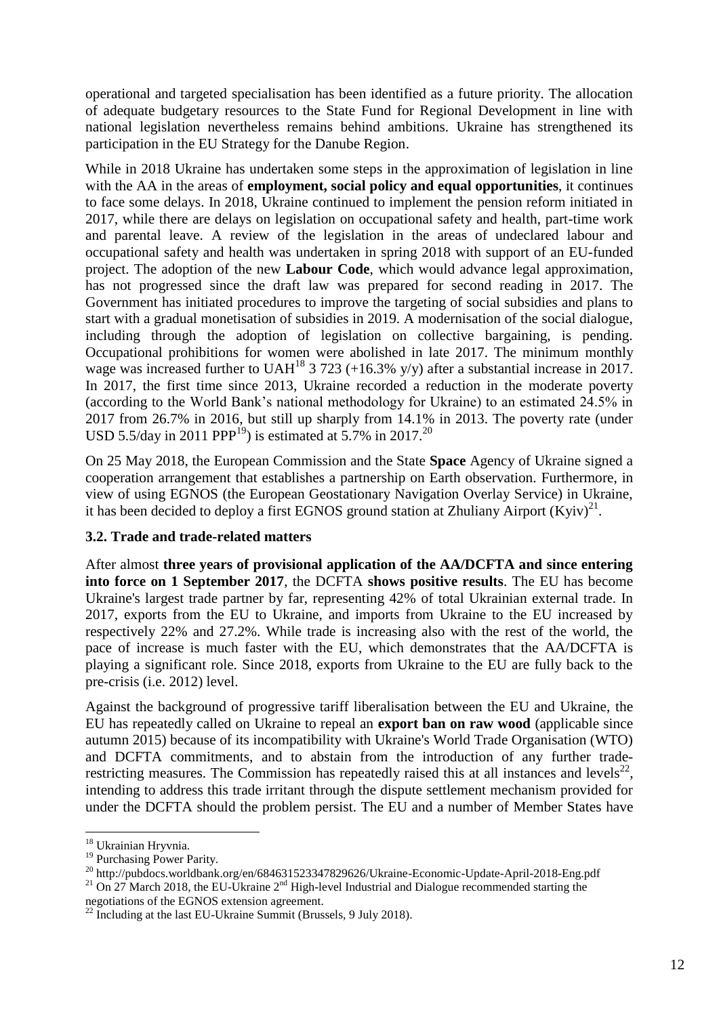operational and targeted specialisation has been identified as a future priority. The allocation of adequate budgetary resources to the State Fund for Regional Development in line with national legislation nevertheless remains behind ambitions. Ukraine has strengthened its participation in the EU Strategy for the Danube Region.

While in 2018 Ukraine has undertaken some steps in the approximation of legislation in line with the AA in the areas of **employment, social policy and equal opportunities**, it continues to face some delays. In 2018, Ukraine continued to implement the pension reform initiated in 2017, while there are delays on legislation on occupational safety and health, part-time work and parental leave. A review of the legislation in the areas of undeclared labour and occupational safety and health was undertaken in spring 2018 with support of an EU-funded project. The adoption of the new **Labour Code**, which would advance legal approximation, has not progressed since the draft law was prepared for second reading in 2017. The Government has initiated procedures to improve the targeting of social subsidies and plans to start with a gradual monetisation of subsidies in 2019. A modernisation of the social dialogue, including through the adoption of legislation on collective bargaining, is pending. Occupational prohibitions for women were abolished in late 2017. The minimum monthly wage was increased further to UAH<sup>18</sup> 3 723 (+16.3% y/y) after a substantial increase in 2017. In 2017, the first time since 2013, Ukraine recorded a reduction in the moderate poverty (according to the World Bank's national methodology for Ukraine) to an estimated 24.5% in 2017 from 26.7% in 2016, but still up sharply from 14.1% in 2013. The poverty rate (under USD 5.5/day in 2011 PPP<sup>19</sup>) is estimated at 5.7% in 2017.<sup>20</sup>

On 25 May 2018, the European Commission and the State **Space** Agency of Ukraine signed a cooperation arrangement that establishes a partnership on Earth observation. Furthermore, in view of using EGNOS (the European Geostationary Navigation Overlay Service) in Ukraine, it has been decided to deploy a first EGNOS ground station at Zhuliany Airport  $(Kyiv)^{21}$ .

# **3.2. Trade and trade-related matters**

After almost **three years of provisional application of the AA/DCFTA and since entering into force on 1 September 2017**, the DCFTA **shows positive results**. The EU has become Ukraine's largest trade partner by far, representing 42% of total Ukrainian external trade. In 2017, exports from the EU to Ukraine, and imports from Ukraine to the EU increased by respectively 22% and 27.2%. While trade is increasing also with the rest of the world, the pace of increase is much faster with the EU, which demonstrates that the AA/DCFTA is playing a significant role. Since 2018, exports from Ukraine to the EU are fully back to the pre-crisis (i.e. 2012) level.

Against the background of progressive tariff liberalisation between the EU and Ukraine, the EU has repeatedly called on Ukraine to repeal an **export ban on raw wood** (applicable since autumn 2015) because of its incompatibility with Ukraine's World Trade Organisation (WTO) and DCFTA commitments, and to abstain from the introduction of any further traderestricting measures. The Commission has repeatedly raised this at all instances and levels $^{22}$ , intending to address this trade irritant through the dispute settlement mechanism provided for under the DCFTA should the problem persist. The EU and a number of Member States have

1

<sup>&</sup>lt;sup>18</sup> Ukrainian Hryvnia.

<sup>&</sup>lt;sup>19</sup> Purchasing Power Parity.

<sup>20</sup> http://pubdocs.worldbank.org/en/684631523347829626/Ukraine-Economic-Update-April-2018-Eng.pdf

<sup>&</sup>lt;sup>21</sup> On 27 March 2018, the EU-Ukraine 2<sup>nd</sup> High-level Industrial and Dialogue recommended starting the negotiations of the EGNOS extension agreement.

 $^{22}$  Including at the last EU-Ukraine Summit (Brussels, 9 July 2018).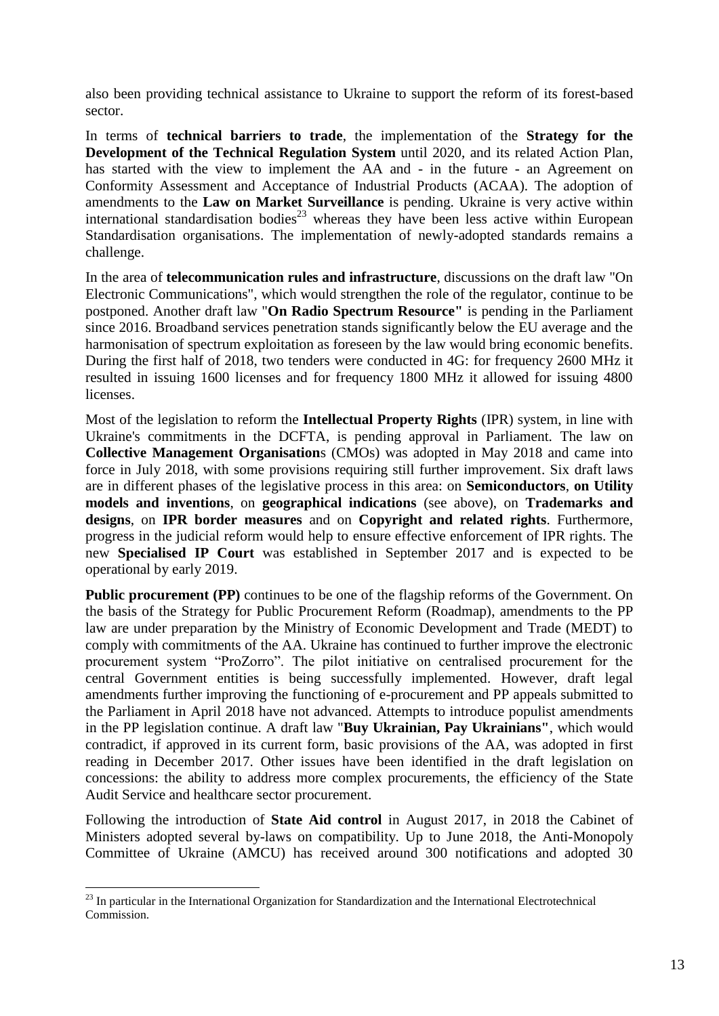also been providing technical assistance to Ukraine to support the reform of its forest-based sector.

In terms of **technical barriers to trade**, the implementation of the **Strategy for the Development of the Technical Regulation System** until 2020, and its related Action Plan, has started with the view to implement the AA and - in the future - an Agreement on Conformity Assessment and Acceptance of Industrial Products (ACAA). The adoption of amendments to the **Law on Market Surveillance** is pending. Ukraine is very active within international standardisation bodies<sup>23</sup> whereas they have been less active within European Standardisation organisations. The implementation of newly-adopted standards remains a challenge.

In the area of **telecommunication rules and infrastructure**, discussions on the draft law "On Electronic Communications", which would strengthen the role of the regulator, continue to be postponed. Another draft law "**On Radio Spectrum Resource"** is pending in the Parliament since 2016. Broadband services penetration stands significantly below the EU average and the harmonisation of spectrum exploitation as foreseen by the law would bring economic benefits. During the first half of 2018, two tenders were conducted in 4G: for frequency 2600 MHz it resulted in issuing 1600 licenses and for frequency 1800 MHz it allowed for issuing 4800 licenses.

Most of the legislation to reform the **Intellectual Property Rights** (IPR) system, in line with Ukraine's commitments in the DCFTA, is pending approval in Parliament. The law on **Collective Management Organisation**s (CMOs) was adopted in May 2018 and came into force in July 2018, with some provisions requiring still further improvement. Six draft laws are in different phases of the legislative process in this area: on **Semiconductors**, **on Utility models and inventions**, on **geographical indications** (see above), on **Trademarks and designs**, on **IPR border measures** and on **Copyright and related rights**. Furthermore, progress in the judicial reform would help to ensure effective enforcement of IPR rights. The new **Specialised IP Court** was established in September 2017 and is expected to be operational by early 2019.

**Public procurement (PP)** continues to be one of the flagship reforms of the Government. On the basis of the Strategy for Public Procurement Reform (Roadmap), amendments to the PP law are under preparation by the Ministry of Economic Development and Trade (MEDT) to comply with commitments of the AA. Ukraine has continued to further improve the electronic procurement system "ProZorro". The pilot initiative on centralised procurement for the central Government entities is being successfully implemented. However, draft legal amendments further improving the functioning of e-procurement and PP appeals submitted to the Parliament in April 2018 have not advanced. Attempts to introduce populist amendments in the PP legislation continue. A draft law "**Buy Ukrainian, Pay Ukrainians"**, which would contradict, if approved in its current form, basic provisions of the AA, was adopted in first reading in December 2017. Other issues have been identified in the draft legislation on concessions: the ability to address more complex procurements, the efficiency of the State Audit Service and healthcare sector procurement.

Following the introduction of **State Aid control** in August 2017, in 2018 the Cabinet of Ministers adopted several by-laws on compatibility. Up to June 2018, the Anti-Monopoly Committee of Ukraine (AMCU) has received around 300 notifications and adopted 30

 $^{23}$  In particular in the International Organization for Standardization and the International Electrotechnical Commission.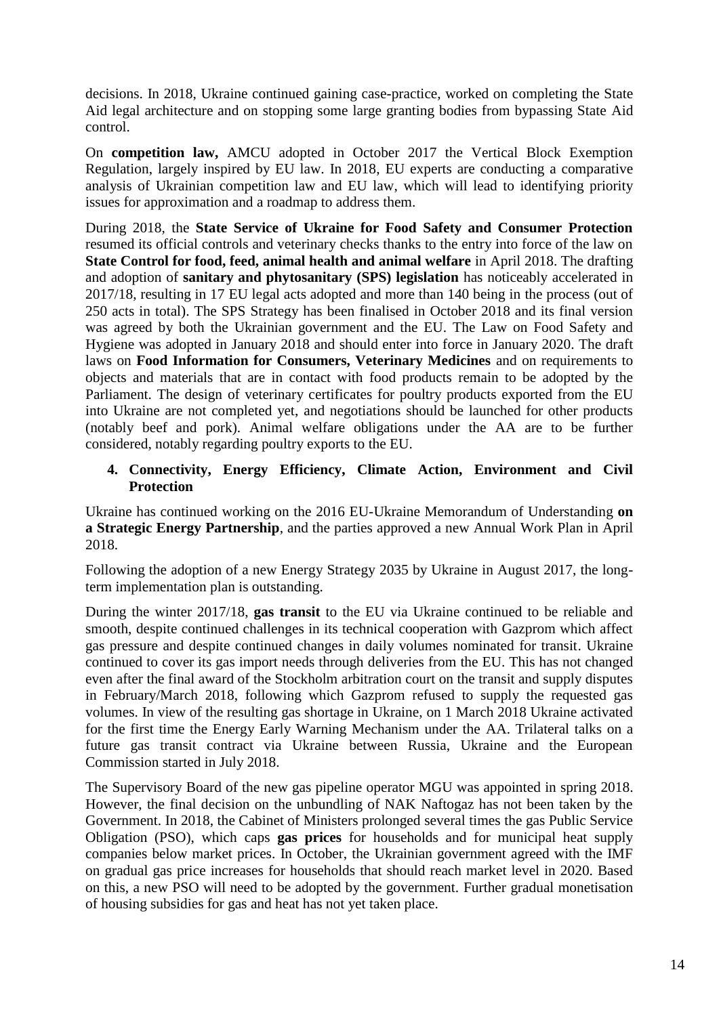decisions. In 2018, Ukraine continued gaining case-practice, worked on completing the State Aid legal architecture and on stopping some large granting bodies from bypassing State Aid control.

On **competition law,** AMCU adopted in October 2017 the Vertical Block Exemption Regulation, largely inspired by EU law. In 2018, EU experts are conducting a comparative analysis of Ukrainian competition law and EU law, which will lead to identifying priority issues for approximation and a roadmap to address them.

During 2018, the **State Service of Ukraine for Food Safety and Consumer Protection** resumed its official controls and veterinary checks thanks to the entry into force of the law on **State Control for food, feed, animal health and animal welfare** in April 2018. The drafting and adoption of **sanitary and phytosanitary (SPS) legislation** has noticeably accelerated in 2017/18, resulting in 17 EU legal acts adopted and more than 140 being in the process (out of 250 acts in total). The SPS Strategy has been finalised in October 2018 and its final version was agreed by both the Ukrainian government and the EU. The Law on Food Safety and Hygiene was adopted in January 2018 and should enter into force in January 2020. The draft laws on **Food Information for Consumers, Veterinary Medicines** and on requirements to objects and materials that are in contact with food products remain to be adopted by the Parliament. The design of veterinary certificates for poultry products exported from the EU into Ukraine are not completed yet, and negotiations should be launched for other products (notably beef and pork). Animal welfare obligations under the AA are to be further considered, notably regarding poultry exports to the EU.

# **4. Connectivity, Energy Efficiency, Climate Action, Environment and Civil Protection**

Ukraine has continued working on the 2016 EU-Ukraine Memorandum of Understanding **on a Strategic Energy Partnership**, and the parties approved a new Annual Work Plan in April 2018.

Following the adoption of a new Energy Strategy 2035 by Ukraine in August 2017, the longterm implementation plan is outstanding.

During the winter 2017/18, **gas transit** to the EU via Ukraine continued to be reliable and smooth, despite continued challenges in its technical cooperation with Gazprom which affect gas pressure and despite continued changes in daily volumes nominated for transit. Ukraine continued to cover its gas import needs through deliveries from the EU. This has not changed even after the final award of the Stockholm arbitration court on the transit and supply disputes in February/March 2018, following which Gazprom refused to supply the requested gas volumes. In view of the resulting gas shortage in Ukraine, on 1 March 2018 Ukraine activated for the first time the Energy Early Warning Mechanism under the AA. Trilateral talks on a future gas transit contract via Ukraine between Russia, Ukraine and the European Commission started in July 2018.

The Supervisory Board of the new gas pipeline operator MGU was appointed in spring 2018. However, the final decision on the unbundling of NAK Naftogaz has not been taken by the Government. In 2018, the Cabinet of Ministers prolonged several times the gas Public Service Obligation (PSO), which caps **gas prices** for households and for municipal heat supply companies below market prices. In October, the Ukrainian government agreed with the IMF on gradual gas price increases for households that should reach market level in 2020. Based on this, a new PSO will need to be adopted by the government. Further gradual monetisation of housing subsidies for gas and heat has not yet taken place.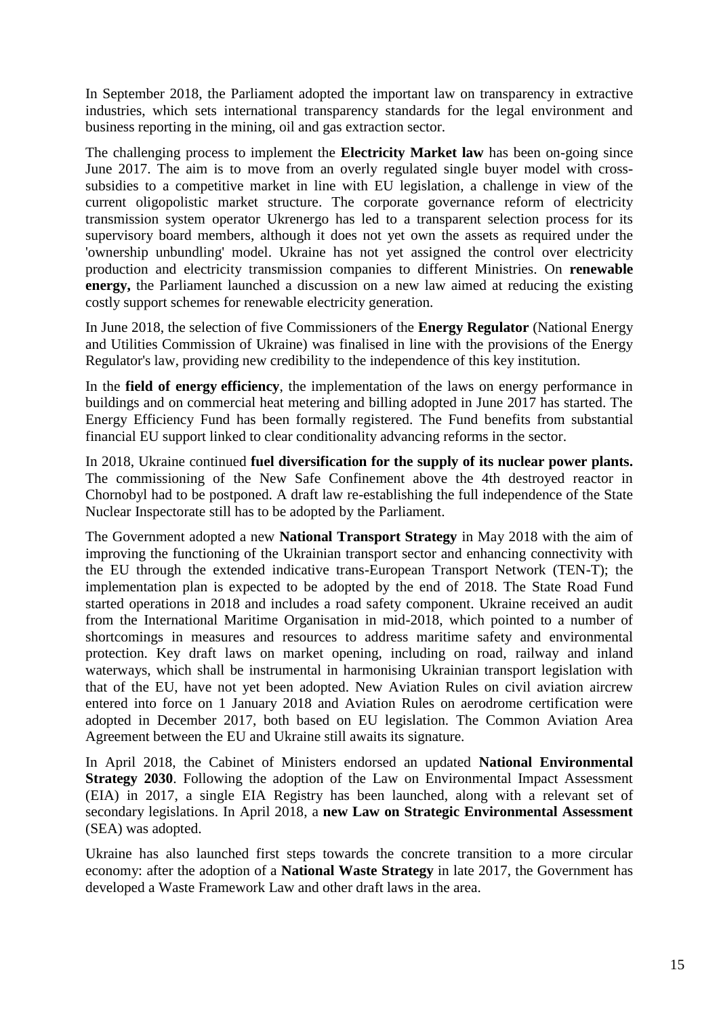In September 2018, the Parliament adopted the important law on transparency in extractive industries, which sets international transparency standards for the legal environment and business reporting in the mining, oil and gas extraction sector.

The challenging process to implement the **Electricity Market law** has been on-going since June 2017. The aim is to move from an overly regulated single buyer model with crosssubsidies to a competitive market in line with EU legislation, a challenge in view of the current oligopolistic market structure. The corporate governance reform of electricity transmission system operator Ukrenergo has led to a transparent selection process for its supervisory board members, although it does not yet own the assets as required under the 'ownership unbundling' model. Ukraine has not yet assigned the control over electricity production and electricity transmission companies to different Ministries. On **renewable energy,** the Parliament launched a discussion on a new law aimed at reducing the existing costly support schemes for renewable electricity generation.

In June 2018, the selection of five Commissioners of the **Energy Regulator** (National Energy and Utilities Commission of Ukraine) was finalised in line with the provisions of the Energy Regulator's law, providing new credibility to the independence of this key institution.

In the **field of energy efficiency**, the implementation of the laws on energy performance in buildings and on commercial heat metering and billing adopted in June 2017 has started. The Energy Efficiency Fund has been formally registered. The Fund benefits from substantial financial EU support linked to clear conditionality advancing reforms in the sector.

In 2018, Ukraine continued **fuel diversification for the supply of its nuclear power plants.** The commissioning of the New Safe Confinement above the 4th destroyed reactor in Chornobyl had to be postponed. A draft law re-establishing the full independence of the State Nuclear Inspectorate still has to be adopted by the Parliament.

The Government adopted a new **National Transport Strategy** in May 2018 with the aim of improving the functioning of the Ukrainian transport sector and enhancing connectivity with the EU through the extended indicative trans-European Transport Network (TEN-T); the implementation plan is expected to be adopted by the end of 2018. The State Road Fund started operations in 2018 and includes a road safety component. Ukraine received an audit from the International Maritime Organisation in mid-2018, which pointed to a number of shortcomings in measures and resources to address maritime safety and environmental protection. Key draft laws on market opening, including on road, railway and inland waterways, which shall be instrumental in harmonising Ukrainian transport legislation with that of the EU, have not yet been adopted. New Aviation Rules on civil aviation aircrew entered into force on 1 January 2018 and Aviation Rules on aerodrome certification were adopted in December 2017, both based on EU legislation. The Common Aviation Area Agreement between the EU and Ukraine still awaits its signature.

In April 2018, the Cabinet of Ministers endorsed an updated **National Environmental Strategy 2030**. Following the adoption of the Law on Environmental Impact Assessment (EIA) in 2017, a single EIA Registry has been launched, along with a relevant set of secondary legislations. In April 2018, a **new Law on Strategic Environmental Assessment** (SEA) was adopted.

Ukraine has also launched first steps towards the concrete transition to a more circular economy: after the adoption of a **National Waste Strategy** in late 2017, the Government has developed a Waste Framework Law and other draft laws in the area.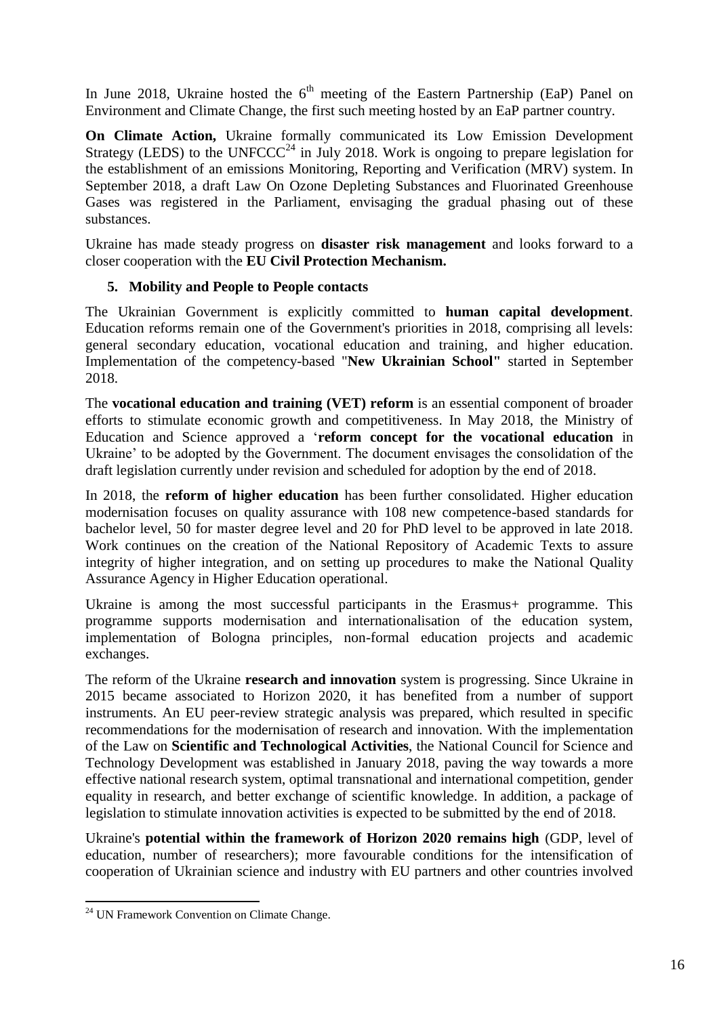In June 2018, Ukraine hosted the  $6<sup>th</sup>$  meeting of the Eastern Partnership (EaP) Panel on Environment and Climate Change, the first such meeting hosted by an EaP partner country.

**On Climate Action,** Ukraine formally communicated its Low Emission Development Strategy (LEDS) to the UNFCCC<sup>24</sup> in July 2018. Work is ongoing to prepare legislation for the establishment of an emissions Monitoring, Reporting and Verification (MRV) system. In September 2018, a draft Law On Ozone Depleting Substances and Fluorinated Greenhouse Gases was registered in the Parliament, envisaging the gradual phasing out of these substances.

Ukraine has made steady progress on **disaster risk management** and looks forward to a closer cooperation with the **EU Civil Protection Mechanism.**

# **5. Mobility and People to People contacts**

The Ukrainian Government is explicitly committed to **human capital development**. Education reforms remain one of the Government's priorities in 2018, comprising all levels: general secondary education, vocational education and training, and higher education. Implementation of the competency-based "**New Ukrainian School"** started in September 2018.

The **vocational education and training (VET) reform** is an essential component of broader efforts to stimulate economic growth and competitiveness. In May 2018, the Ministry of Education and Science approved a '**reform concept for the vocational education** in Ukraine' to be adopted by the Government. The document envisages the consolidation of the draft legislation currently under revision and scheduled for adoption by the end of 2018.

In 2018, the **reform of higher education** has been further consolidated. Higher education modernisation focuses on quality assurance with 108 new competence-based standards for bachelor level, 50 for master degree level and 20 for PhD level to be approved in late 2018. Work continues on the creation of the National Repository of Academic Texts to assure integrity of higher integration, and on setting up procedures to make the National Quality Assurance Agency in Higher Education operational.

Ukraine is among the most successful participants in the Erasmus+ programme. This programme supports modernisation and internationalisation of the education system, implementation of Bologna principles, non-formal education projects and academic exchanges.

The reform of the Ukraine **research and innovation** system is progressing. Since Ukraine in 2015 became associated to Horizon 2020, it has benefited from a number of support instruments. An EU peer-review strategic analysis was prepared, which resulted in specific recommendations for the modernisation of research and innovation. With the implementation of the Law on **Scientific and Technological Activities**, the National Council for Science and Technology Development was established in January 2018, paving the way towards a more effective national research system, optimal transnational and international competition, gender equality in research, and better exchange of scientific knowledge. In addition, a package of legislation to stimulate innovation activities is expected to be submitted by the end of 2018.

Ukraine's **potential within the framework of Horizon 2020 remains high** (GDP, level of education, number of researchers); more favourable conditions for the intensification of cooperation of Ukrainian science and industry with EU partners and other countries involved

<sup>&</sup>lt;sup>24</sup> UN Framework Convention on Climate Change.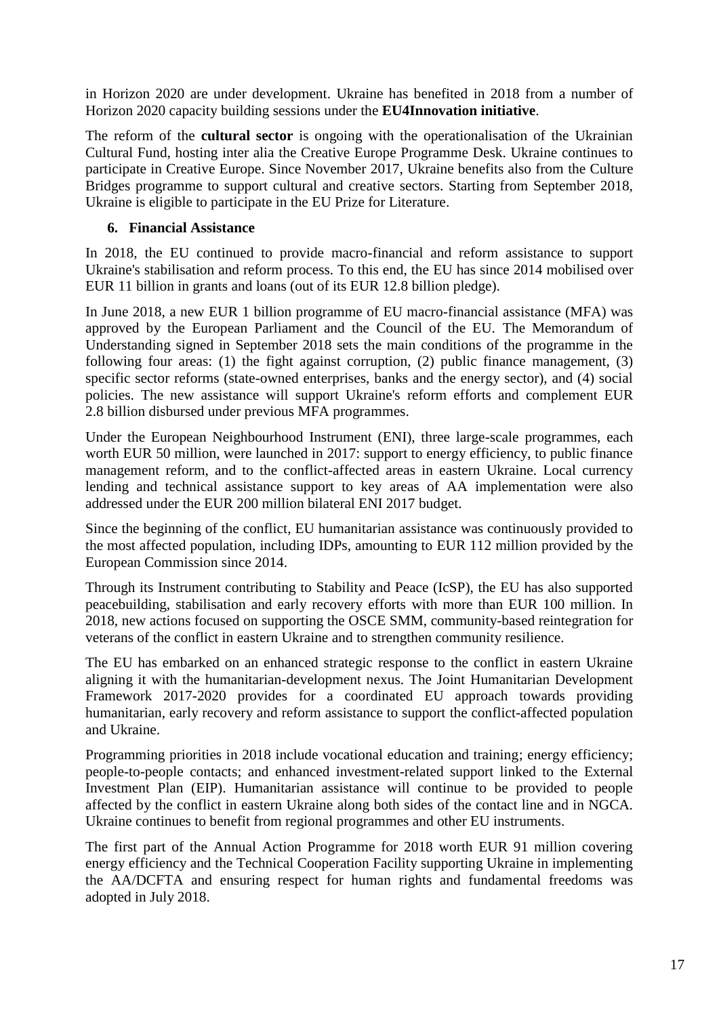in Horizon 2020 are under development. Ukraine has benefited in 2018 from a number of Horizon 2020 capacity building sessions under the **EU4Innovation initiative**.

The reform of the **cultural sector** is ongoing with the operationalisation of the Ukrainian Cultural Fund, hosting inter alia the Creative Europe Programme Desk. Ukraine continues to participate in Creative Europe. Since November 2017, Ukraine benefits also from the Culture Bridges programme to support cultural and creative sectors. Starting from September 2018, Ukraine is eligible to participate in the EU Prize for Literature.

# **6. Financial Assistance**

In 2018, the EU continued to provide macro-financial and reform assistance to support Ukraine's stabilisation and reform process. To this end, the EU has since 2014 mobilised over EUR 11 billion in grants and loans (out of its EUR 12.8 billion pledge).

In June 2018, a new EUR 1 billion programme of EU macro-financial assistance (MFA) was approved by the European Parliament and the Council of the EU. The Memorandum of Understanding signed in September 2018 sets the main conditions of the programme in the following four areas: (1) the fight against corruption, (2) public finance management, (3) specific sector reforms (state-owned enterprises, banks and the energy sector), and (4) social policies. The new assistance will support Ukraine's reform efforts and complement EUR 2.8 billion disbursed under previous MFA programmes.

Under the European Neighbourhood Instrument (ENI), three large-scale programmes, each worth EUR 50 million, were launched in 2017: support to energy efficiency, to public finance management reform, and to the conflict-affected areas in eastern Ukraine. Local currency lending and technical assistance support to key areas of AA implementation were also addressed under the EUR 200 million bilateral ENI 2017 budget.

Since the beginning of the conflict, EU humanitarian assistance was continuously provided to the most affected population, including IDPs, amounting to EUR 112 million provided by the European Commission since 2014.

Through its Instrument contributing to Stability and Peace (IcSP), the EU has also supported peacebuilding, stabilisation and early recovery efforts with more than EUR 100 million. In 2018, new actions focused on supporting the OSCE SMM, community-based reintegration for veterans of the conflict in eastern Ukraine and to strengthen community resilience.

The EU has embarked on an enhanced strategic response to the conflict in eastern Ukraine aligning it with the humanitarian-development nexus. The Joint Humanitarian Development Framework 2017-2020 provides for a coordinated EU approach towards providing humanitarian, early recovery and reform assistance to support the conflict-affected population and Ukraine.

Programming priorities in 2018 include vocational education and training; energy efficiency; people-to-people contacts; and enhanced investment-related support linked to the External Investment Plan (EIP). Humanitarian assistance will continue to be provided to people affected by the conflict in eastern Ukraine along both sides of the contact line and in NGCA. Ukraine continues to benefit from regional programmes and other EU instruments.

The first part of the Annual Action Programme for 2018 worth EUR 91 million covering energy efficiency and the Technical Cooperation Facility supporting Ukraine in implementing the AA/DCFTA and ensuring respect for human rights and fundamental freedoms was adopted in July 2018.